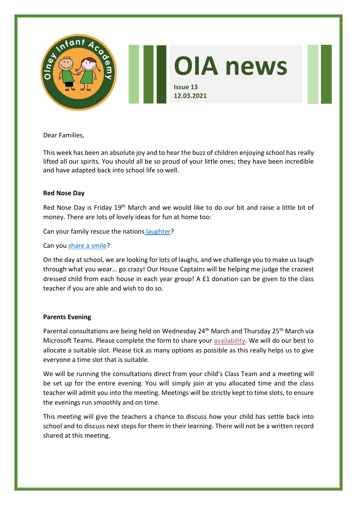

Dear Families,

This week has been an absolute joy and to hear the buzz of children enjoying school has really lifted all our spirits. You should all be so proud of your little ones; they have been incredible and have adapted back into school life so well.

### **Red Nose Day**

Red Nose Day is Friday 19<sup>th</sup> March and we would like to do our bit and raise a little bit of money. There are lots of lovely ideas for fun at home too:

Can your family rescue the nations [laughter?](https://www.comicrelief.com/rednoseday/fundraise/family-challenge/)

Can you [share a smile?](https://assets.ctfassets.net/zsfivwzfgl3t/2PELHfr0AuEdE4I1zE5Wyx/dff37382c5742ef6da61a67112e58c61/share_a_smile_poster_A4.pdf)

On the day at school, we are looking for lots of laughs, and we challenge you to make us laugh through what you wear… go crazy! Our House Captains will be helping me judge the craziest dressed child from each house in each year group! A £1 donation can be given to the class teacher if you are able and wish to do so.

## **Parents Evening**

Parental consultations are being held on Wednesday 24<sup>th</sup> March and Thursday 25<sup>th</sup> March via Microsoft Teams. Please complete the form to share your [availability.](https://forms.office.com/Pages/ResponsePage.aspx?id=oIsPtsOOkEymy5EGius66F-RoOVZWLtOs8fSfslgACNUN0xFNTFNVFZMOENKUUVPTk1JSEpMTlczVy4u) We will do our best to allocate a suitable slot. Please tick as many options as possible as this really helps us to give everyone a time slot that is suitable.

We will be running the consultations direct from your child's Class Team and a meeting will be set up for the entire evening. You will simply join at you allocated time and the class teacher will admit you into the meeting. Meetings will be strictly kept to time slots, to ensure the evenings run smoothly and on time.

This meeting will give the teachers a chance to discuss how your child has settle back into school and to discuss next steps for them in their learning. There will not be a written record shared at this meeting.